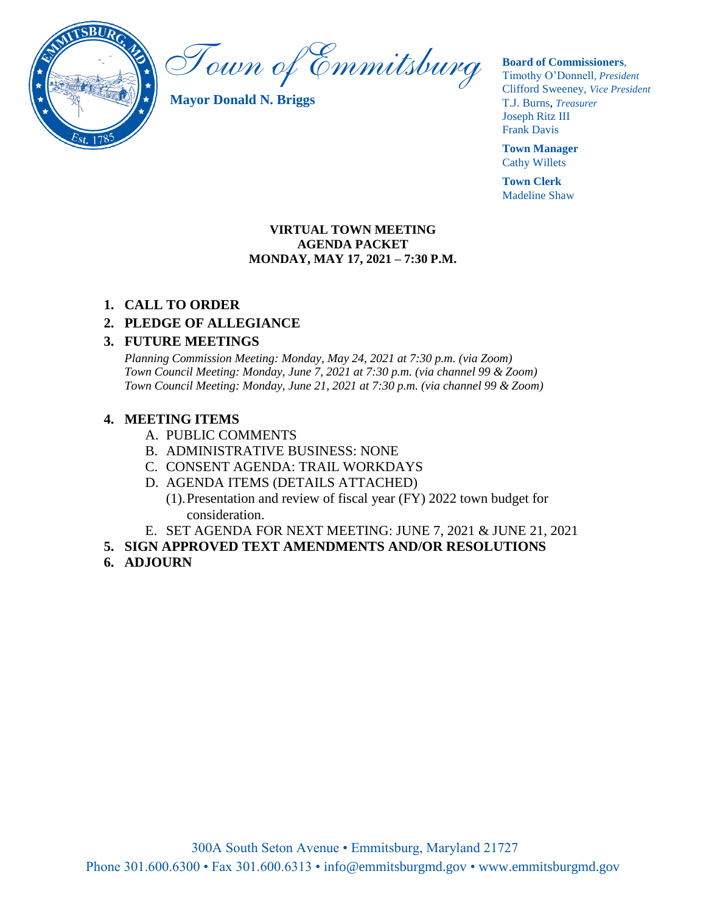

Town of Emmitsburg

**Mayor Donald N. Briggs**

**Board of Commissioners**,

Timothy O'Donnell*, President*  Clifford Sweeney, *Vice President* T.J. Burns, *Treasurer*  Joseph Ritz III Frank Davis

**Town Manager** Cathy Willets

**Town Clerk** Madeline Shaw

#### **VIRTUAL TOWN MEETING AGENDA PACKET MONDAY, MAY 17, 2021 – 7:30 P.M.**

### **1. CALL TO ORDER**

# **2. PLEDGE OF ALLEGIANCE**

## **3. FUTURE MEETINGS**

*Planning Commission Meeting: Monday, May 24, 2021 at 7:30 p.m. (via Zoom) Town Council Meeting: Monday, June 7, 2021 at 7:30 p.m. (via channel 99 & Zoom) Town Council Meeting: Monday, June 21, 2021 at 7:30 p.m. (via channel 99 & Zoom)*

## **4. MEETING ITEMS**

- A. PUBLIC COMMENTS
- B. ADMINISTRATIVE BUSINESS: NONE
- C. CONSENT AGENDA: TRAIL WORKDAYS
- D. AGENDA ITEMS (DETAILS ATTACHED)
	- (1).Presentation and review of fiscal year (FY) 2022 town budget for consideration.
- E. SET AGENDA FOR NEXT MEETING: JUNE 7, 2021 & JUNE 21, 2021
- **5. SIGN APPROVED TEXT AMENDMENTS AND/OR RESOLUTIONS**
- **6. ADJOURN**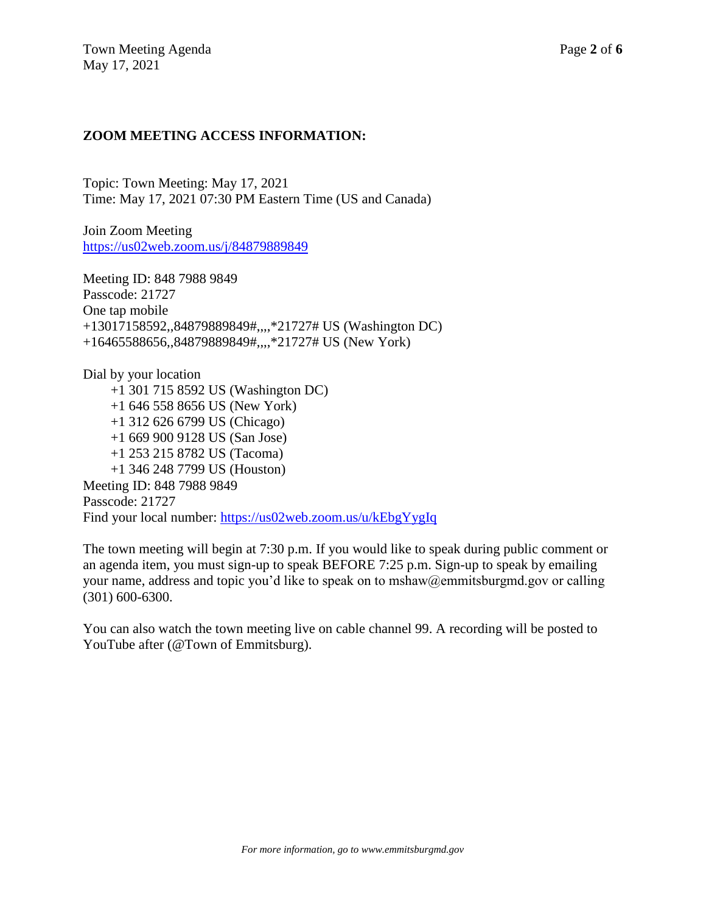## **ZOOM MEETING ACCESS INFORMATION:**

Topic: Town Meeting: May 17, 2021 Time: May 17, 2021 07:30 PM Eastern Time (US and Canada)

Join Zoom Meeting <https://us02web.zoom.us/j/84879889849>

Meeting ID: 848 7988 9849 Passcode: 21727 One tap mobile +13017158592,,84879889849#,,,,\*21727# US (Washington DC) +16465588656,,84879889849#,,,,\*21727# US (New York)

Dial by your location +1 301 715 8592 US (Washington DC) +1 646 558 8656 US (New York) +1 312 626 6799 US (Chicago) +1 669 900 9128 US (San Jose) +1 253 215 8782 US (Tacoma) +1 346 248 7799 US (Houston) Meeting ID: 848 7988 9849 Passcode: 21727 Find your local number:<https://us02web.zoom.us/u/kEbgYygIq>

The town meeting will begin at 7:30 p.m. If you would like to speak during public comment or an agenda item, you must sign-up to speak BEFORE 7:25 p.m. Sign-up to speak by emailing your name, address and topic you'd like to speak on to mshaw@emmitsburgmd.gov or calling (301) 600-6300.

You can also watch the town meeting live on cable channel 99. A recording will be posted to YouTube after (@Town of Emmitsburg).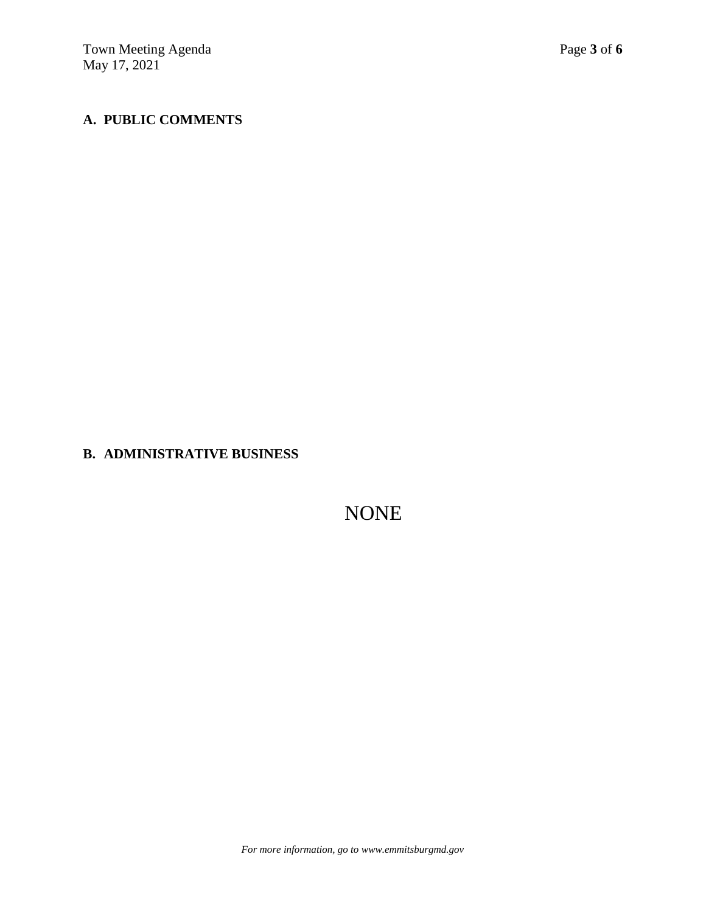# **A. PUBLIC COMMENTS**

**B. ADMINISTRATIVE BUSINESS** 

NONE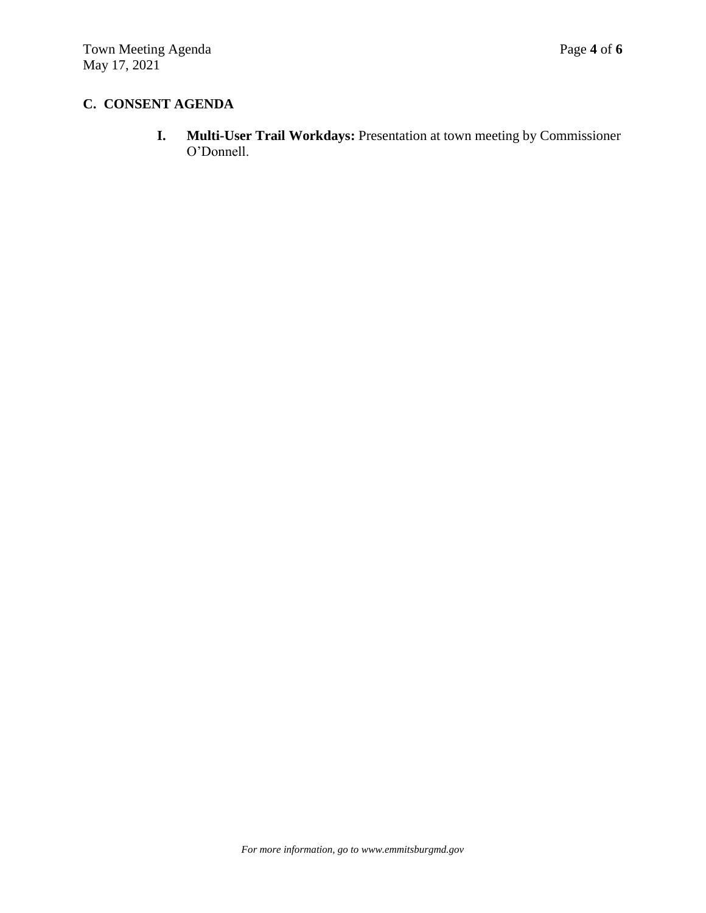# **C. CONSENT AGENDA**

**I. Multi-User Trail Workdays:** Presentation at town meeting by Commissioner O'Donnell.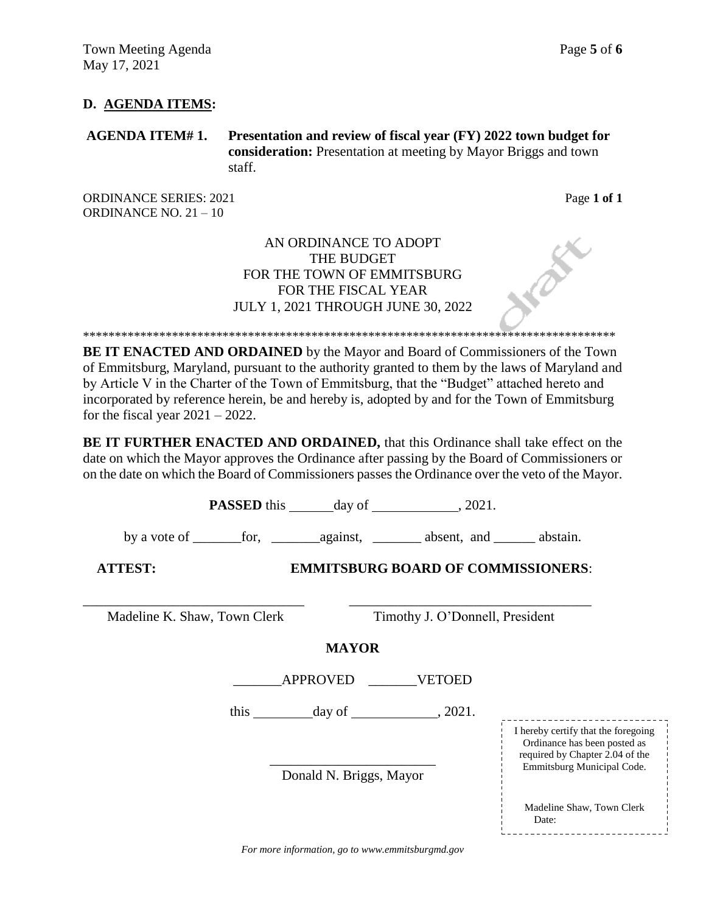### **D. AGENDA ITEMS:**

**AGENDA ITEM# 1. Presentation and review of fiscal year (FY) 2022 town budget for consideration:** Presentation at meeting by Mayor Briggs and town staff.

ORDINANCE SERIES: 2021 **Page 1 of 1** ORDINANCE NO. 21 – 10

Date:

\_\_\_\_\_\_\_\_\_\_\_\_\_\_\_\_\_\_\_\_\_\_\_\_\_\_\_\_\_

## AN ORDINANCE TO ADOPT THE BUDGET FOR THE TOWN OF EMMITSBURG FOR THE FISCAL YEAR JULY 1, 2021 THROUGH JUNE 30, 2022

\*\*\*\*\*\*\*\*\*\*\*\*\*\*\*\*\*\*\*\*\*\*\*\*\*\*\*\*\*\*\*\*\*\*\*\*\*\*\*\*\*\*\*\*\*\*\*\*\*\*\*\*\*\*\*\*\*\*\*\*\*\*\*\*\*\*\*\*\*\*\*\*\*\*\*\*\*\*\*\*\*\*\*\*

**BE IT ENACTED AND ORDAINED** by the Mayor and Board of Commissioners of the Town of Emmitsburg, Maryland, pursuant to the authority granted to them by the laws of Maryland and by Article V in the Charter of the Town of Emmitsburg, that the "Budget" attached hereto and incorporated by reference herein, be and hereby is, adopted by and for the Town of Emmitsburg for the fiscal year  $2021 - 2022$ .

**BE IT FURTHER ENACTED AND ORDAINED,** that this Ordinance shall take effect on the date on which the Mayor approves the Ordinance after passing by the Board of Commissioners or on the date on which the Board of Commissioners passes the Ordinance over the veto of the Mayor.

**PASSED** this day of , 2021. by a vote of \_\_\_\_\_\_\_for, \_\_\_\_\_\_\_against, \_\_\_\_\_\_\_ absent, and \_\_\_\_\_\_ abstain. **ATTEST: EMMITSBURG BOARD OF COMMISSIONERS**: \_\_\_\_\_\_\_\_\_\_\_\_\_\_\_\_\_\_\_\_\_\_\_\_\_\_\_\_\_\_\_\_ \_\_\_\_\_\_\_\_\_\_\_\_\_\_\_\_\_\_\_\_\_\_\_\_\_\_\_\_\_\_\_\_\_\_\_ Madeline K. Shaw, Town Clerk Timothy J. O'Donnell, President **MAYOR** \_\_\_\_\_\_\_APPROVED \_\_\_\_\_\_\_VETOED this day of  $, 2021$ . \_\_\_\_\_\_\_\_\_\_\_\_\_\_\_\_\_\_\_\_\_\_\_\_ Donald N. Briggs, Mayor I hereby certify that the foregoing Ordinance has been posted as required by Chapter 2.04 of the Emmitsburg Municipal Code. Madeline Shaw, Town Clerk

*For more information, go to www.emmitsburgmd.gov*